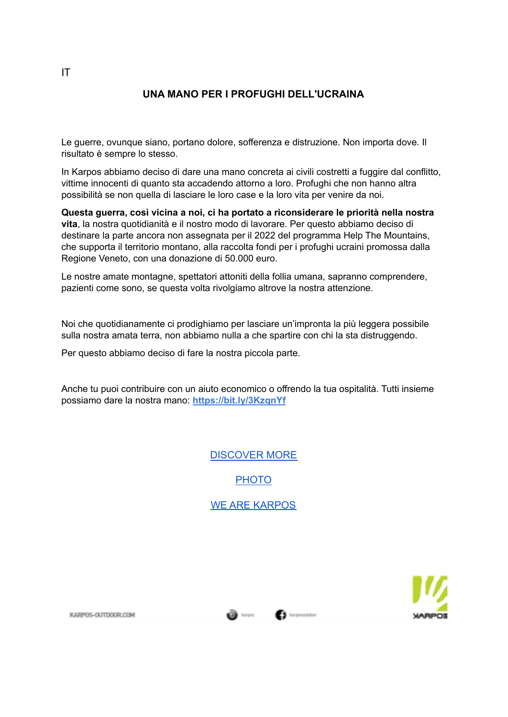### **UNA MANO PER I PROFUGHI DELL'UCRAINA**

Le guerre, ovunque siano, portano dolore, sofferenza e distruzione. Non importa dove. Il risultato è sempre lo stesso.

In Karpos abbiamo deciso di dare una mano concreta ai civili costretti a fuggire dal conflitto, vittime innocenti di quanto sta accadendo attorno a loro. Profughi che non hanno altra possibilità se non quella di lasciare le loro case e la loro vita per venire da noi.

**Questa guerra, così vicina a noi, ci ha portato a riconsiderare le priorità nella nostra vita**, la nostra quotidianità e il nostro modo di lavorare. Per questo abbiamo deciso di destinare la parte ancora non assegnata per il 2022 del programma Help The Mountains, che supporta il territorio montano, alla raccolta fondi per i profughi ucraini promossa dalla Regione Veneto, con una donazione di 50.000 euro.

Le nostre amate montagne, spettatori attoniti della follia umana, sapranno comprendere, pazienti come sono, se questa volta rivolgiamo altrove la nostra attenzione.

Noi che quotidianamente ci prodighiamo per lasciare un'impronta la più leggera possibile sulla nostra amata terra, non abbiamo nulla a che spartire con chi la sta distruggendo.

Per questo abbiamo deciso di fare la nostra piccola parte.

Anche tu puoi contribuire con un aiuto economico o offrendo la tua ospitalità. Tutti insieme possiamo dare la nostra mano: **https://bit.ly/3KzqnYf**

[DISCOVER MORE](https://bit.ly/3KzqnYf)

[PHOTO](https://karposoutdoor.sharefile.com/d-s527ba4f746d044b8a6021c9e65a6713f)

[WE ARE KARPOS](https://www.karpos-outdoor.com/2/karpos/who-we-are)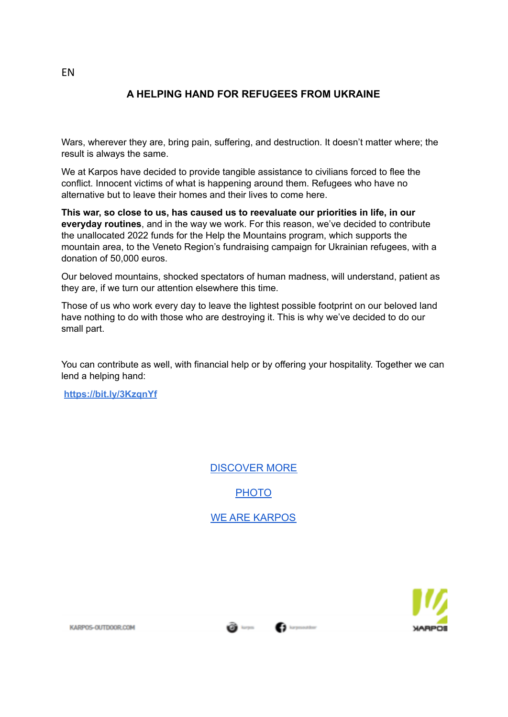## **A HELPING HAND FOR REFUGEES FROM UKRAINE**

Wars, wherever they are, bring pain, suffering, and destruction. It doesn't matter where; the result is always the same.

We at Karpos have decided to provide tangible assistance to civilians forced to flee the conflict. Innocent victims of what is happening around them. Refugees who have no alternative but to leave their homes and their lives to come here.

**This war, so close to us, has caused us to reevaluate our priorities in life, in our everyday routines**, and in the way we work. For this reason, we've decided to contribute the unallocated 2022 funds for the Help the Mountains program, which supports the mountain area, to the Veneto Region's fundraising campaign for Ukrainian refugees, with a donation of 50,000 euros.

Our beloved mountains, shocked spectators of human madness, will understand, patient as they are, if we turn our attention elsewhere this time.

Those of us who work every day to leave the lightest possible footprint on our beloved land have nothing to do with those who are destroying it. This is why we've decided to do our small part.

You can contribute as well, with financial help or by offering your hospitality. Together we can lend a helping hand:

**https://bit.ly/3KzqnYf**

[DISCOVER MORE](https://bit.ly/3KzqnYf)

**[PHOTO](https://karposoutdoor.sharefile.com/d-s527ba4f746d044b8a6021c9e65a6713f)** 

[WE ARE KARPOS](https://www.karpos-outdoor.com/2/karpos/who-we-are)

**CO** karpes

**C** largessation



EN

KARPOS-OUTDOOR.COM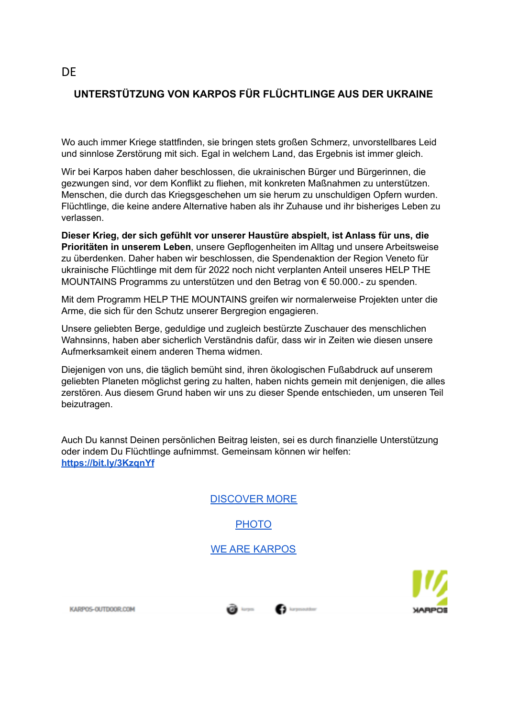# **UNTERSTÜTZUNG VON KARPOS FÜR FLÜCHTLINGE AUS DER UKRAINE**

Wo auch immer Kriege stattfinden, sie bringen stets großen Schmerz, unvorstellbares Leid und sinnlose Zerstörung mit sich. Egal in welchem Land, das Ergebnis ist immer gleich.

Wir bei Karpos haben daher beschlossen, die ukrainischen Bürger und Bürgerinnen, die gezwungen sind, vor dem Konflikt zu fliehen, mit konkreten Maßnahmen zu unterstützen. Menschen, die durch das Kriegsgeschehen um sie herum zu unschuldigen Opfern wurden. Flüchtlinge, die keine andere Alternative haben als ihr Zuhause und ihr bisheriges Leben zu verlassen.

**Dieser Krieg, der sich gefühlt vor unserer Haustüre abspielt, ist Anlass für uns, die Prioritäten in unserem Leben**, unsere Gepflogenheiten im Alltag und unsere Arbeitsweise zu überdenken. Daher haben wir beschlossen, die Spendenaktion der Region Veneto für ukrainische Flüchtlinge mit dem für 2022 noch nicht verplanten Anteil unseres HELP THE MOUNTAINS Programms zu unterstützen und den Betrag von € 50.000.- zu spenden.

Mit dem Programm HELP THE MOUNTAINS greifen wir normalerweise Projekten unter die Arme, die sich für den Schutz unserer Bergregion engagieren.

Unsere geliebten Berge, geduldige und zugleich bestürzte Zuschauer des menschlichen Wahnsinns, haben aber sicherlich Verständnis dafür, dass wir in Zeiten wie diesen unsere Aufmerksamkeit einem anderen Thema widmen.

Diejenigen von uns, die täglich bemüht sind, ihren ökologischen Fußabdruck auf unserem geliebten Planeten möglichst gering zu halten, haben nichts gemein mit denjenigen, die alles zerstören. Aus diesem Grund haben wir uns zu dieser Spende entschieden, um unseren Teil beizutragen.

Auch Du kannst Deinen persönlichen Beitrag leisten, sei es durch finanzielle Unterstützung oder indem Du Flüchtlinge aufnimmst. Gemeinsam können wir helfen: **<https://bit.ly/3KzqnYf>**

[DISCOVER MORE](https://bit.ly/3KzqnYf)

[PHOTO](https://karposoutdoor.sharefile.com/d-s527ba4f746d044b8a6021c9e65a6713f)

[WE ARE KARPOS](https://www.karpos-outdoor.com/2/karpos/who-we-are)

KARPOS-OUTDOOR.COM



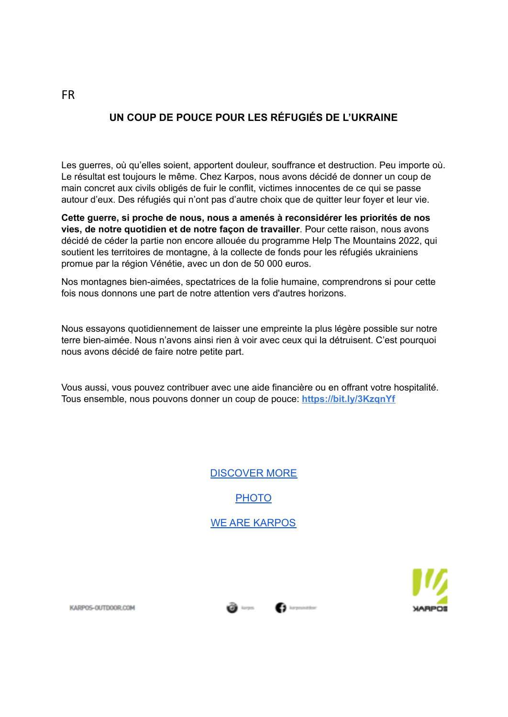## **UN COUP DE POUCE POUR LES RÉFUGIÉS DE L'UKRAINE**

Les guerres, où qu'elles soient, apportent douleur, souffrance et destruction. Peu importe où. Le résultat est toujours le même. Chez Karpos, nous avons décidé de donner un coup de main concret aux civils obligés de fuir le conflit, victimes innocentes de ce qui se passe autour d'eux. Des réfugiés qui n'ont pas d'autre choix que de quitter leur foyer et leur vie.

**Cette guerre, si proche de nous, nous a amenés à reconsidérer les priorités de nos vies, de notre quotidien et de notre façon de travailler**. Pour cette raison, nous avons décidé de céder la partie non encore allouée du programme Help The Mountains 2022, qui soutient les territoires de montagne, à la collecte de fonds pour les réfugiés ukrainiens promue par la région Vénétie, avec un don de 50 000 euros.

Nos montagnes bien-aimées, spectatrices de la folie humaine, comprendrons si pour cette fois nous donnons une part de notre attention vers d'autres horizons.

Nous essayons quotidiennement de laisser une empreinte la plus légère possible sur notre terre bien-aimée. Nous n'avons ainsi rien à voir avec ceux qui la détruisent. C'est pourquoi nous avons décidé de faire notre petite part.

Vous aussi, vous pouvez contribuer avec une aide financière ou en offrant votre hospitalité. Tous ensemble, nous pouvons donner un coup de pouce: **https://bit.ly/3KzqnYf**

> [DISCOVER MORE](https://bit.ly/3KzqnYf) **[PHOTO](https://karposoutdoor.sharefile.com/d-s527ba4f746d044b8a6021c9e65a6713f)** [WE ARE KARPOS](https://www.karpos-outdoor.com/2/karpos/who-we-are)



KARPOS-OUTDOOR COM